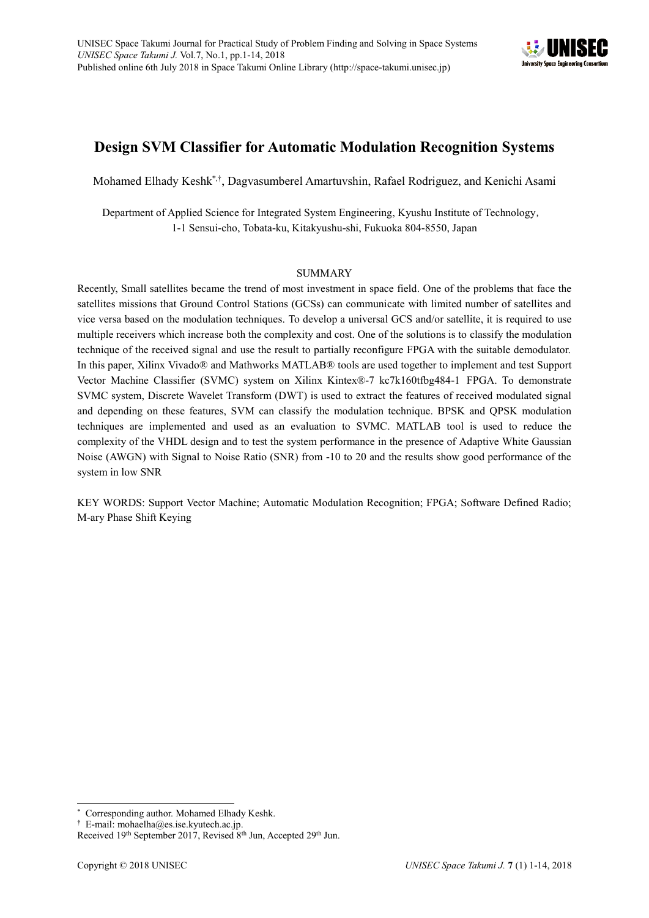

# **Design SVM Classifier for Automatic Modulation Recognition Systems**

Mohamed Elhady Keshk<sup>\*,†</sup>, Dagvasumberel Amartuvshin, Rafael Rodriguez, and Kenichi Asami

Department of Applied Science for Integrated System Engineering, Kyushu Institute of Technology, 1-1 Sensui-cho, Tobata-ku, Kitakyushu-shi, Fukuoka 804-8550, Japan

## SUMMARY

Recently, Small satellites became the trend of most investment in space field. One of the problems that face the satellites missions that Ground Control Stations (GCSs) can communicate with limited number of satellites and vice versa based on the modulation techniques. To develop a universal GCS and/or satellite, it is required to use multiple receivers which increase both the complexity and cost. One of the solutions is to classify the modulation technique of the received signal and use the result to partially reconfigure FPGA with the suitable demodulator. In this paper, Xilinx Vivado® and Mathworks MATLAB® tools are used together to implement and test Support Vector Machine Classifier (SVMC) system on Xilinx Kintex®-7 kc7k160tfbg484-1 FPGA. To demonstrate SVMC system, Discrete Wavelet Transform (DWT) is used to extract the features of received modulated signal and depending on these features, SVM can classify the modulation technique. BPSK and QPSK modulation techniques are implemented and used as an evaluation to SVMC. MATLAB tool is used to reduce the complexity of the VHDL design and to test the system performance in the presence of Adaptive White Gaussian Noise (AWGN) with Signal to Noise Ratio (SNR) from -10 to 20 and the results show good performance of the system in low SNR

KEY WORDS: Support Vector Machine; Automatic Modulation Recognition; FPGA; Software Defined Radio; M-ary Phase Shift Keying

 $\overline{a}$ Corresponding author. Mohamed Elhady Keshk.

<sup>†</sup> E-mail: mohaelha@es.ise.kyutech.ac.jp.

Received 19<sup>th</sup> September 2017, Revised 8<sup>th</sup> Jun, Accepted 29<sup>th</sup> Jun.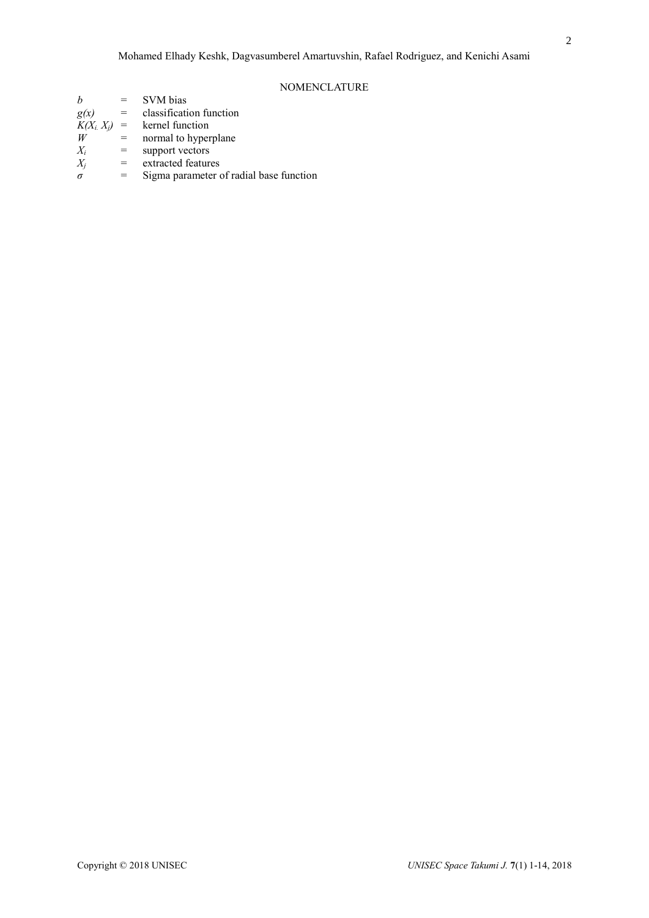## NOMENCLATURE

| SVM bias                               |                                         |
|----------------------------------------|-----------------------------------------|
| classification function<br>g(x)<br>$=$ |                                         |
| $K(X_i, X_j) =$<br>kernel function     |                                         |
| normal to hyperplane<br>W<br>$=$       |                                         |
| $X_i$<br>support vectors<br>$=$        |                                         |
| extracted features<br>$X_i$<br>$=$     |                                         |
| $=$<br>$\sigma$                        | Sigma parameter of radial base function |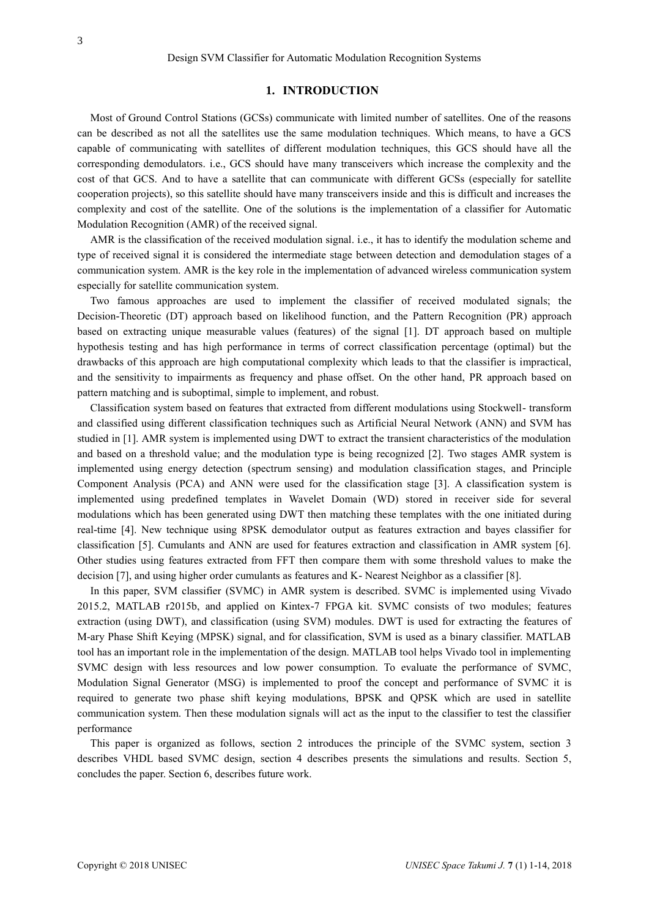## **1. INTRODUCTION**

Most of Ground Control Stations (GCSs) communicate with limited number of satellites. One of the reasons can be described as not all the satellites use the same modulation techniques. Which means, to have a GCS capable of communicating with satellites of different modulation techniques, this GCS should have all the corresponding demodulators. i.e., GCS should have many transceivers which increase the complexity and the cost of that GCS. And to have a satellite that can communicate with different GCSs (especially for satellite cooperation projects), so this satellite should have many transceivers inside and this is difficult and increases the complexity and cost of the satellite. One of the solutions is the implementation of a classifier for Automatic Modulation Recognition (AMR) of the received signal.

AMR is the classification of the received modulation signal. i.e., it has to identify the modulation scheme and type of received signal it is considered the intermediate stage between detection and demodulation stages of a communication system. AMR is the key role in the implementation of advanced wireless communication system especially for satellite communication system.

Two famous approaches are used to implement the classifier of received modulated signals; the Decision-Theoretic (DT) approach based on likelihood function, and the Pattern Recognition (PR) approach based on extracting unique measurable values (features) of the signal [1]. DT approach based on multiple hypothesis testing and has high performance in terms of correct classification percentage (optimal) but the drawbacks of this approach are high computational complexity which leads to that the classifier is impractical, and the sensitivity to impairments as frequency and phase offset. On the other hand, PR approach based on pattern matching and is suboptimal, simple to implement, and robust.

Classification system based on features that extracted from different modulations using Stockwell- transform and classified using different classification techniques such as Artificial Neural Network (ANN) and SVM has studied in [1]. AMR system is implemented using DWT to extract the transient characteristics of the modulation and based on a threshold value; and the modulation type is being recognized [2]. Two stages AMR system is implemented using energy detection (spectrum sensing) and modulation classification stages, and Principle Component Analysis (PCA) and ANN were used for the classification stage [3]. A classification system is implemented using predefined templates in Wavelet Domain (WD) stored in receiver side for several modulations which has been generated using DWT then matching these templates with the one initiated during real-time [4]. New technique using 8PSK demodulator output as features extraction and bayes classifier for classification [5]. Cumulants and ANN are used for features extraction and classification in AMR system [6]. Other studies using features extracted from FFT then compare them with some threshold values to make the decision [7], and using higher order cumulants as features and K- Nearest Neighbor as a classifier [8].

In this paper, SVM classifier (SVMC) in AMR system is described. SVMC is implemented using Vivado 2015.2, MATLAB r2015b, and applied on Kintex-7 FPGA kit. SVMC consists of two modules; features extraction (using DWT), and classification (using SVM) modules. DWT is used for extracting the features of M-ary Phase Shift Keying (MPSK) signal, and for classification, SVM is used as a binary classifier. MATLAB tool has an important role in the implementation of the design. MATLAB tool helps Vivado tool in implementing SVMC design with less resources and low power consumption. To evaluate the performance of SVMC, Modulation Signal Generator (MSG) is implemented to proof the concept and performance of SVMC it is required to generate two phase shift keying modulations, BPSK and QPSK which are used in satellite communication system. Then these modulation signals will act as the input to the classifier to test the classifier performance

This paper is organized as follows, section 2 introduces the principle of the SVMC system, section 3 describes VHDL based SVMC design, section 4 describes presents the simulations and results. Section 5, concludes the paper. Section 6, describes future work.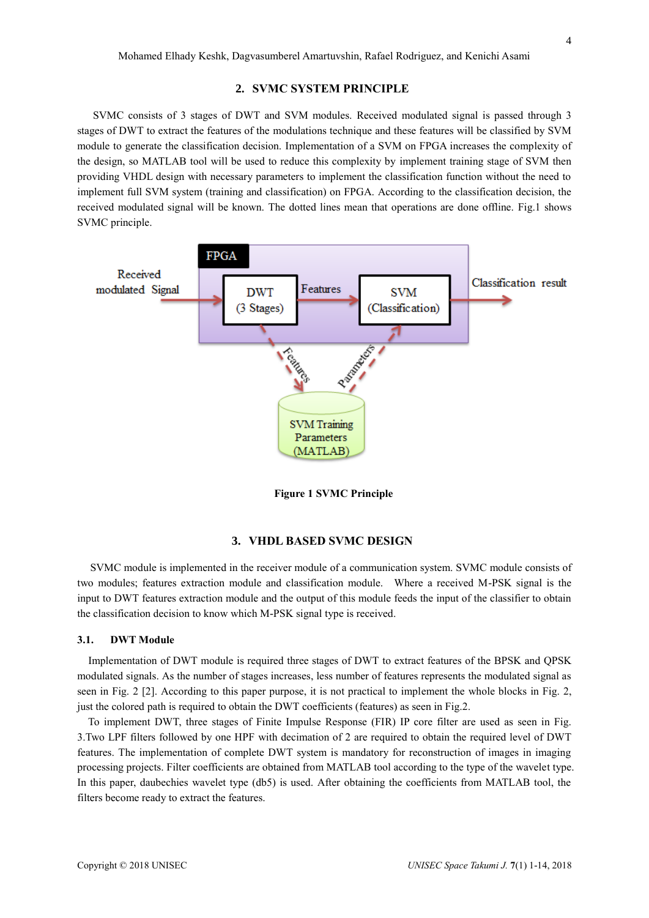#### **2. SVMC SYSTEM PRINCIPLE**

SVMC consists of 3 stages of DWT and SVM modules. Received modulated signal is passed through 3 stages of DWT to extract the features of the modulations technique and these features will be classified by SVM module to generate the classification decision. Implementation of a SVM on FPGA increases the complexity of the design, so MATLAB tool will be used to reduce this complexity by implement training stage of SVM then providing VHDL design with necessary parameters to implement the classification function without the need to implement full SVM system (training and classification) on FPGA. According to the classification decision, the received modulated signal will be known. The dotted lines mean that operations are done offline. Fig.1 shows SVMC principle.



**Figure 1 SVMC Principle**

#### **3. VHDL BASED SVMC DESIGN**

SVMC module is implemented in the receiver module of a communication system. SVMC module consists of two modules; features extraction module and classification module. Where a received M-PSK signal is the input to DWT features extraction module and the output of this module feeds the input of the classifier to obtain the classification decision to know which M-PSK signal type is received.

#### **3.1. DWT Module**

 Implementation of DWT module is required three stages of DWT to extract features of the BPSK and QPSK modulated signals. As the number of stages increases, less number of features represents the modulated signal as seen in Fig. 2 [2]. According to this paper purpose, it is not practical to implement the whole blocks in Fig. 2, just the colored path is required to obtain the DWT coefficients (features) as seen in Fig.2.

 To implement DWT, three stages of Finite Impulse Response (FIR) IP core filter are used as seen in Fig. 3.Two LPF filters followed by one HPF with decimation of 2 are required to obtain the required level of DWT features. The implementation of complete DWT system is mandatory for reconstruction of images in imaging processing projects. Filter coefficients are obtained from MATLAB tool according to the type of the wavelet type. In this paper, daubechies wavelet type (db5) is used. After obtaining the coefficients from MATLAB tool, the filters become ready to extract the features.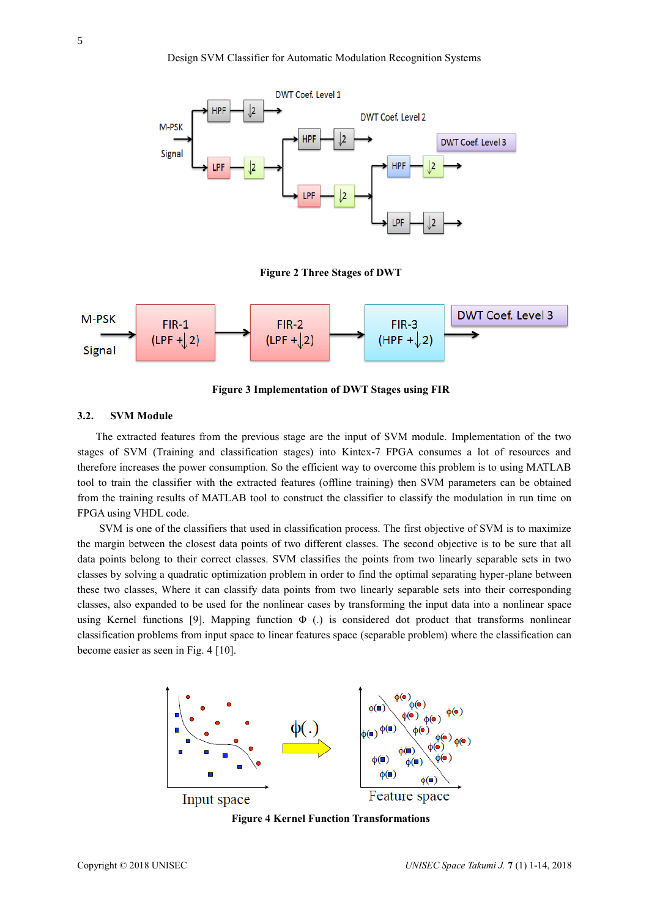

**Figure 2 Three Stages of DWT**



**Figure 3 Implementation of DWT Stages using FIR**

#### **3.2. SVM Module**

The extracted features from the previous stage are the input of SVM module. Implementation of the two stages of SVM (Training and classification stages) into Kintex-7 FPGA consumes a lot of resources and therefore increases the power consumption. So the efficient way to overcome this problem is to using MATLAB tool to train the classifier with the extracted features (offline training) then SVM parameters can be obtained from the training results of MATLAB tool to construct the classifier to classify the modulation in run time on FPGA using VHDL code.

 SVM is one of the classifiers that used in classification process. The first objective of SVM is to maximize the margin between the closest data points of two different classes. The second objective is to be sure that all data points belong to their correct classes. SVM classifies the points from two linearly separable sets in two classes by solving a quadratic optimization problem in order to find the optimal separating hyper-plane between these two classes, Where it can classify data points from two linearly separable sets into their corresponding classes, also expanded to be used for the nonlinear cases by transforming the input data into a nonlinear space using Kernel functions [9]. Mapping function  $\Phi$  (.) is considered dot product that transforms nonlinear classification problems from input space to linear features space (separable problem) where the classification can become easier as seen in Fig. 4 [10].



**Figure 4 Kernel Function Transformations**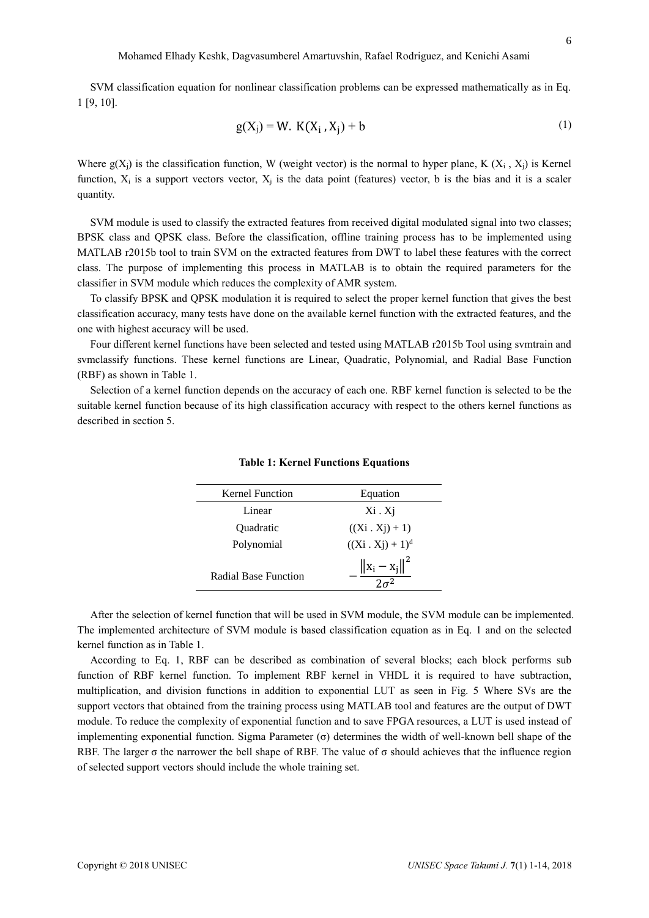SVM classification equation for nonlinear classification problems can be expressed mathematically as in Eq. 1 [9, 10].

$$
g(X_j) = W. K(X_i, X_j) + b \tag{1}
$$

Where  $g(X_i)$  is the classification function, W (weight vector) is the normal to hyper plane, K  $(X_i, X_i)$  is Kernel function,  $X_i$  is a support vectors vector,  $X_i$  is the data point (features) vector, b is the bias and it is a scaler quantity.

SVM module is used to classify the extracted features from received digital modulated signal into two classes; BPSK class and QPSK class. Before the classification, offline training process has to be implemented using MATLAB r2015b tool to train SVM on the extracted features from DWT to label these features with the correct class. The purpose of implementing this process in MATLAB is to obtain the required parameters for the classifier in SVM module which reduces the complexity of AMR system.

To classify BPSK and QPSK modulation it is required to select the proper kernel function that gives the best classification accuracy, many tests have done on the available kernel function with the extracted features, and the one with highest accuracy will be used.

Four different kernel functions have been selected and tested using MATLAB r2015b Tool using svmtrain and svmclassify functions. These kernel functions are Linear, Quadratic, Polynomial, and Radial Base Function (RBF) as shown in Table 1.

Selection of a kernel function depends on the accuracy of each one. RBF kernel function is selected to be the suitable kernel function because of its high classification accuracy with respect to the others kernel functions as described in section 5.

| <b>Kernel Function</b> | Equation                |
|------------------------|-------------------------|
| Linear                 | $Xi \cdot Xj$           |
| <b>Ouadratic</b>       | $((Xi \cdot Xj) + 1)$   |
| Polynomial             | $((Xi \cdot Xj) + 1)^d$ |
| Radial Base Function   | $\ x_i - x_i\ ^2$       |

**Table 1: Kernel Functions Equations**

After the selection of kernel function that will be used in SVM module, the SVM module can be implemented. The implemented architecture of SVM module is based classification equation as in Eq. 1 and on the selected kernel function as in Table 1.

According to Eq. 1, RBF can be described as combination of several blocks; each block performs sub function of RBF kernel function. To implement RBF kernel in VHDL it is required to have subtraction, multiplication, and division functions in addition to exponential LUT as seen in Fig. 5 Where SVs are the support vectors that obtained from the training process using MATLAB tool and features are the output of DWT module. To reduce the complexity of exponential function and to save FPGA resources, a LUT is used instead of implementing exponential function. Sigma Parameter (σ) determines the width of well-known bell shape of the RBF. The larger  $\sigma$  the narrower the bell shape of RBF. The value of  $\sigma$  should achieves that the influence region of selected support vectors should include the whole training set.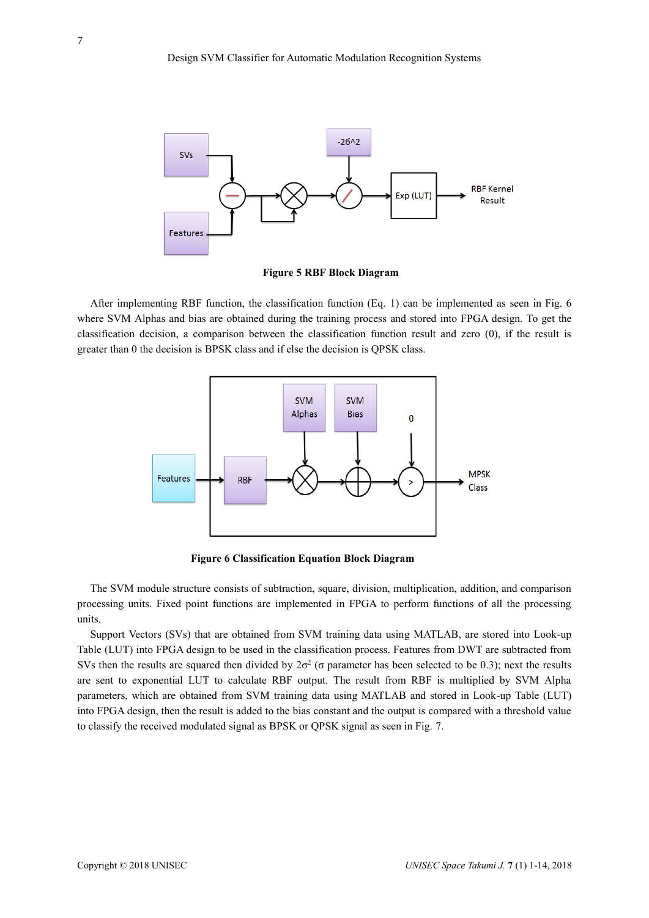

**Figure 5 RBF Block Diagram**

After implementing RBF function, the classification function (Eq. 1) can be implemented as seen in Fig. 6 where SVM Alphas and bias are obtained during the training process and stored into FPGA design. To get the classification decision, a comparison between the classification function result and zero (0), if the result is greater than 0 the decision is BPSK class and if else the decision is QPSK class.



**Figure 6 Classification Equation Block Diagram**

The SVM module structure consists of subtraction, square, division, multiplication, addition, and comparison processing units. Fixed point functions are implemented in FPGA to perform functions of all the processing units.

Support Vectors (SVs) that are obtained from SVM training data using MATLAB, are stored into Look-up Table (LUT) into FPGA design to be used in the classification process. Features from DWT are subtracted from SVs then the results are squared then divided by  $2\sigma^2$  ( $\sigma$  parameter has been selected to be 0.3); next the results are sent to exponential LUT to calculate RBF output. The result from RBF is multiplied by SVM Alpha parameters, which are obtained from SVM training data using MATLAB and stored in Look-up Table (LUT) into FPGA design, then the result is added to the bias constant and the output is compared with a threshold value to classify the received modulated signal as BPSK or QPSK signal as seen in Fig. 7.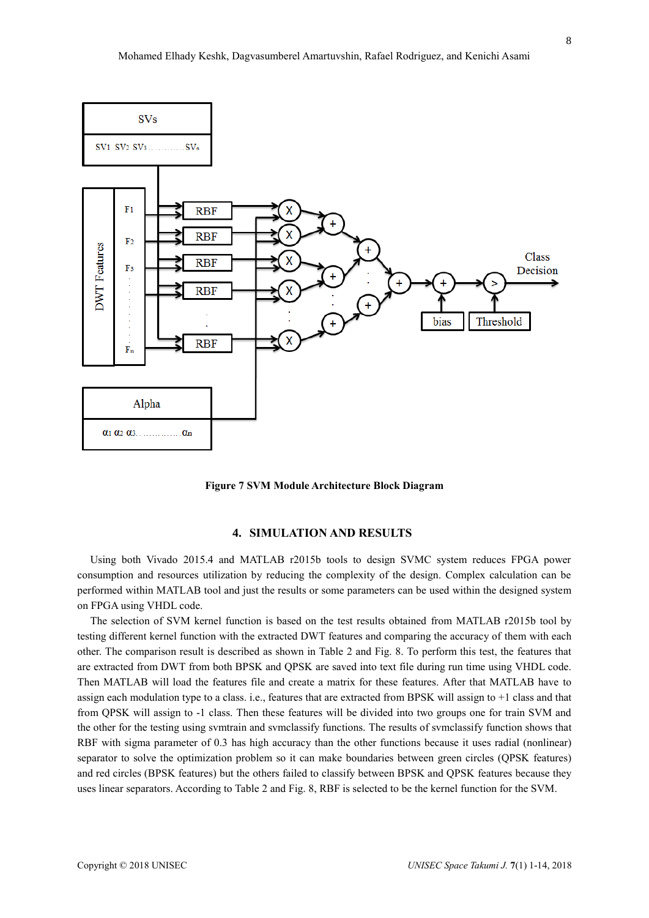

**Figure 7 SVM Module Architecture Block Diagram**

# **4. SIMULATION AND RESULTS**

Using both Vivado 2015.4 and MATLAB r2015b tools to design SVMC system reduces FPGA power consumption and resources utilization by reducing the complexity of the design. Complex calculation can be performed within MATLAB tool and just the results or some parameters can be used within the designed system on FPGA using VHDL code.

The selection of SVM kernel function is based on the test results obtained from MATLAB r2015b tool by testing different kernel function with the extracted DWT features and comparing the accuracy of them with each other. The comparison result is described as shown in Table 2 and Fig. 8. To perform this test, the features that are extracted from DWT from both BPSK and QPSK are saved into text file during run time using VHDL code. Then MATLAB will load the features file and create a matrix for these features. After that MATLAB have to assign each modulation type to a class. i.e., features that are extracted from BPSK will assign to +1 class and that from QPSK will assign to -1 class. Then these features will be divided into two groups one for train SVM and the other for the testing using svmtrain and svmclassify functions. The results of svmclassify function shows that RBF with sigma parameter of 0.3 has high accuracy than the other functions because it uses radial (nonlinear) separator to solve the optimization problem so it can make boundaries between green circles (QPSK features) and red circles (BPSK features) but the others failed to classify between BPSK and QPSK features because they uses linear separators. According to Table 2 and Fig. 8, RBF is selected to be the kernel function for the SVM.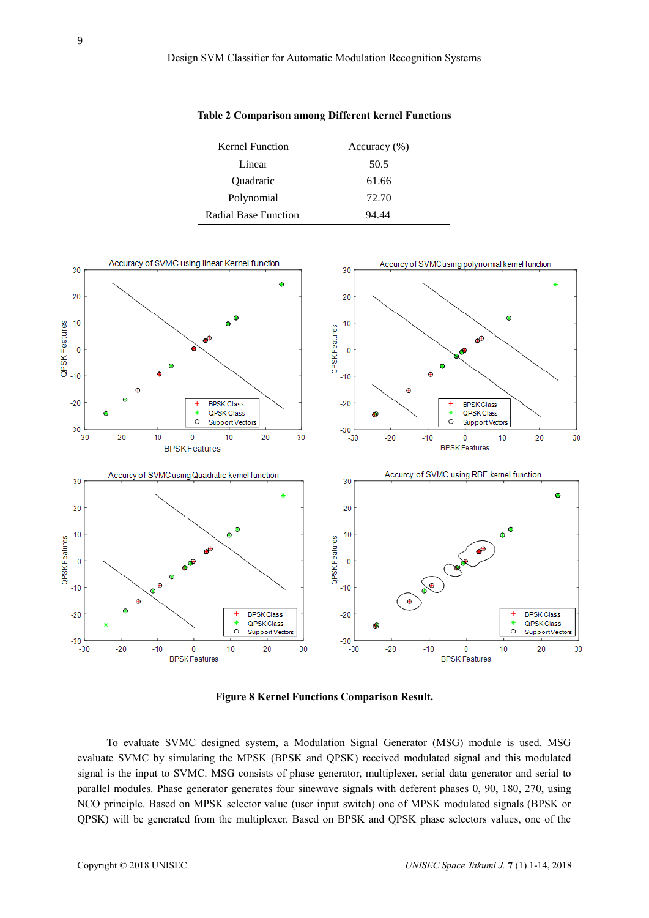| <b>Kernel Function</b> | Accuracy $(\% )$ |
|------------------------|------------------|
| Linear                 | 50.5             |
| Quadratic              | 61.66            |
| Polynomial             | 72.70            |
| Radial Base Function   | 94 44            |



**Table 2 Comparison among Different kernel Functions** 

**Figure 8 Kernel Functions Comparison Result.**

 To evaluate SVMC designed system, a Modulation Signal Generator (MSG) module is used. MSG evaluate SVMC by simulating the MPSK (BPSK and QPSK) received modulated signal and this modulated signal is the input to SVMC. MSG consists of phase generator, multiplexer, serial data generator and serial to parallel modules. Phase generator generates four sinewave signals with deferent phases 0, 90, 180, 270, using NCO principle. Based on MPSK selector value (user input switch) one of MPSK modulated signals (BPSK or QPSK) will be generated from the multiplexer. Based on BPSK and QPSK phase selectors values, one of the

9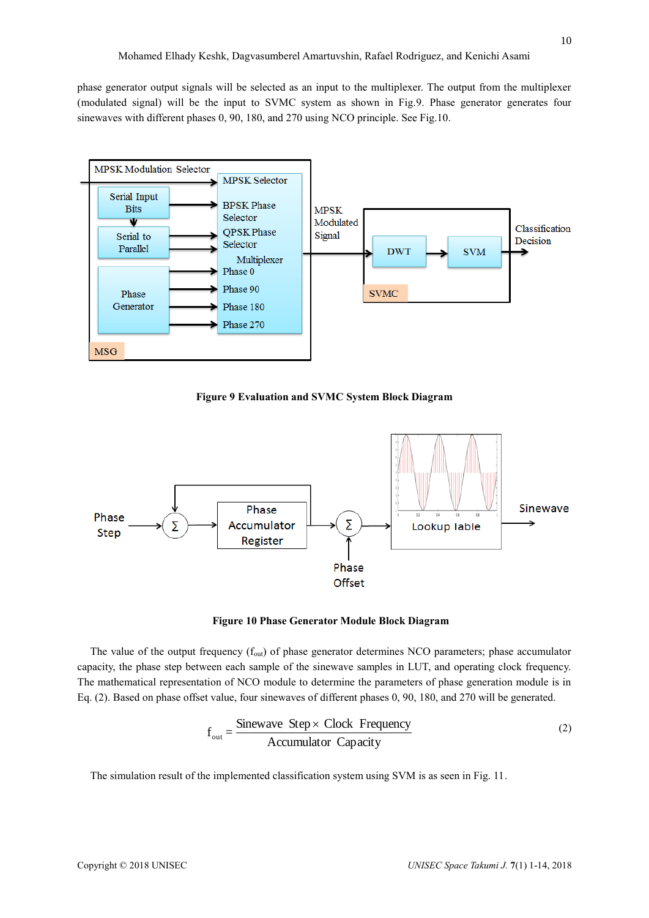phase generator output signals will be selected as an input to the multiplexer. The output from the multiplexer (modulated signal) will be the input to SVMC system as shown in Fig.9. Phase generator generates four sinewaves with different phases 0, 90, 180, and 270 using NCO principle. See Fig.10.



**Figure 9 Evaluation and SVMC System Block Diagram**



#### **Figure 10 Phase Generator Module Block Diagram**

The value of the output frequency  $(f_{out})$  of phase generator determines NCO parameters; phase accumulator capacity, the phase step between each sample of the sinewave samples in LUT, and operating clock frequency. The mathematical representation of NCO module to determine the parameters of phase generation module is in Eq. (2). Based on phase offset value, four sinewaves of different phases 0, 90, 180, and 270 will be generated.

$$
f_{out} = \frac{\text{Sinewave Step} \times \text{Clock Frequency}}{\text{Accumulator Capacity}}
$$
 (2)

The simulation result of the implemented classification system using SVM is as seen in Fig. 11.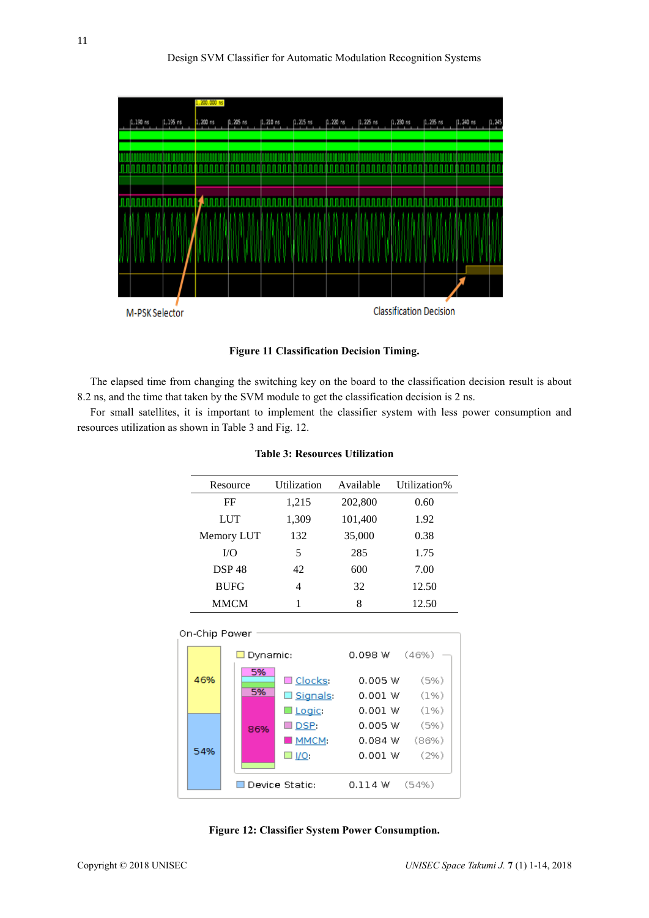

**Figure 11 Classification Decision Timing.**

The elapsed time from changing the switching key on the board to the classification decision result is about 8.2 ns, and the time that taken by the SVM module to get the classification decision is 2 ns.

For small satellites, it is important to implement the classifier system with less power consumption and resources utilization as shown in Table 3 and Fig. 12.

| Resource     | Utilization | Available | Utilization% |
|--------------|-------------|-----------|--------------|
| FF           | 1,215       | 202,800   | 0.60         |
| <b>LUT</b>   | 1,309       | 101,400   | 1.92         |
| Memory LUT   | 132         | 35,000    | 0.38         |
| $1/O$        | 5           | 285       | 1.75         |
| <b>DSP48</b> | 42          | 600       | 7.00         |
| <b>BUFG</b>  | 4           | 32        | 12.50        |
| MMCM         |             | 8         | 12.50        |

|  | <b>Table 3: Resources Utilization</b> |  |
|--|---------------------------------------|--|
|--|---------------------------------------|--|



**Figure 12: Classifier System Power Consumption.**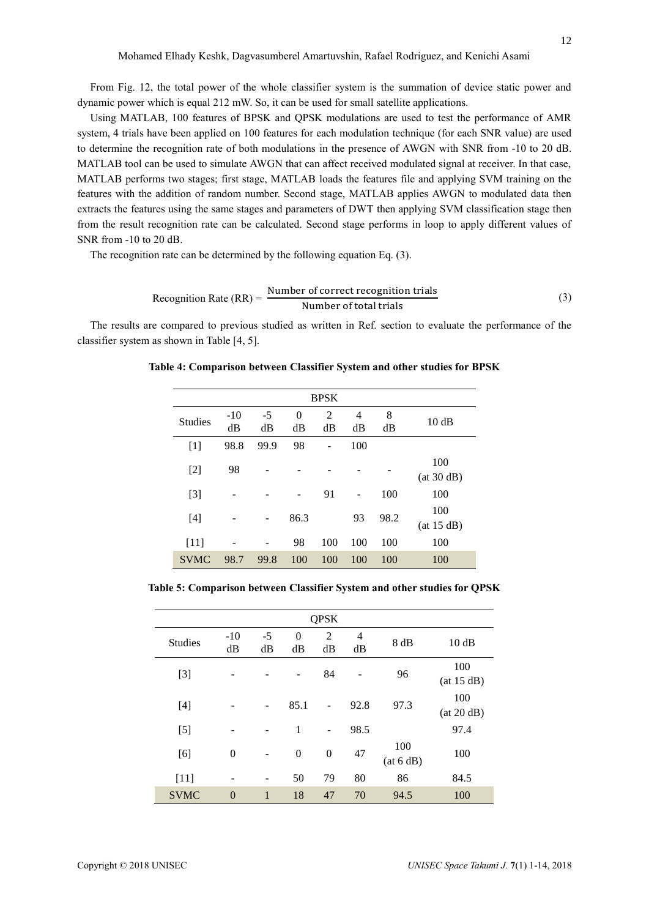From Fig. 12, the total power of the whole classifier system is the summation of device static power and dynamic power which is equal 212 mW. So, it can be used for small satellite applications.

Using MATLAB, 100 features of BPSK and QPSK modulations are used to test the performance of AMR system, 4 trials have been applied on 100 features for each modulation technique (for each SNR value) are used to determine the recognition rate of both modulations in the presence of AWGN with SNR from -10 to 20 dB. MATLAB tool can be used to simulate AWGN that can affect received modulated signal at receiver. In that case, MATLAB performs two stages; first stage, MATLAB loads the features file and applying SVM training on the features with the addition of random number. Second stage, MATLAB applies AWGN to modulated data then extracts the features using the same stages and parameters of DWT then applying SVM classification stage then from the result recognition rate can be calculated. Second stage performs in loop to apply different values of SNR from -10 to 20 dB.

The recognition rate can be determined by the following equation Eq. (3).

Reognition Rate (RR) = 
$$
\frac{\text{Number of correct recognition trials}}{\text{Number of total trials}}
$$
 (3)

The results are compared to previous studied as written in Ref. section to evaluate the performance of the classifier system as shown in Table [4, 5].

| <b>BPSK</b>    |             |            |                      |                      |                      |         |                   |
|----------------|-------------|------------|----------------------|----------------------|----------------------|---------|-------------------|
| <b>Studies</b> | $-10$<br>dB | $-5$<br>dB | $\overline{0}$<br>dB | $\overline{2}$<br>dB | $\overline{4}$<br>dB | 8<br>dB | 10dB              |
| $[1]$          | 98.8        | 99.9       | 98                   |                      | 100                  |         |                   |
| $[2]$          | 98          |            |                      |                      |                      |         | 100<br>(at 30 dB) |
| $[3]$          |             |            |                      | 91                   |                      | 100     | 100               |
| $[4]$          |             |            | 86.3                 |                      | 93                   | 98.2    | 100<br>(at 15 dB) |
| $[11]$         |             |            | 98                   | 100                  | 100                  | 100     | 100               |
| <b>SVMC</b>    | 98.7        | 99.8       | 100                  | 100                  | 100                  | 100     | 100               |

**Table 4: Comparison between Classifier System and other studies for BPSK**

**Table 5: Comparison between Classifier System and other studies for QPSK**

| <b>QPSK</b>    |                |              |                      |                      |                      |                  |                   |
|----------------|----------------|--------------|----------------------|----------------------|----------------------|------------------|-------------------|
| <b>Studies</b> | $-10$<br>dB    | $-5$<br>dB   | $\overline{0}$<br>dB | $\overline{2}$<br>dB | $\overline{4}$<br>dB | 8 dB             | 10dB              |
| $[3]$          |                |              |                      | 84                   |                      | 96               | 100<br>(at 15 dB) |
| $[4]$          |                | -            | 85.1                 |                      | 92.8                 | 97.3             | 100<br>(at 20 dB) |
| $[5]$          |                |              | 1                    | $\overline{a}$       | 98.5                 |                  | 97.4              |
| [6]            | $\overline{0}$ |              | $\boldsymbol{0}$     | $\boldsymbol{0}$     | 47                   | 100<br>(at 6 dB) | 100               |
| $[11]$         |                |              | 50                   | 79                   | 80                   | 86               | 84.5              |
| <b>SVMC</b>    | $\mathbf{0}$   | $\mathbf{1}$ | 18                   | 47                   | 70                   | 94.5             | 100               |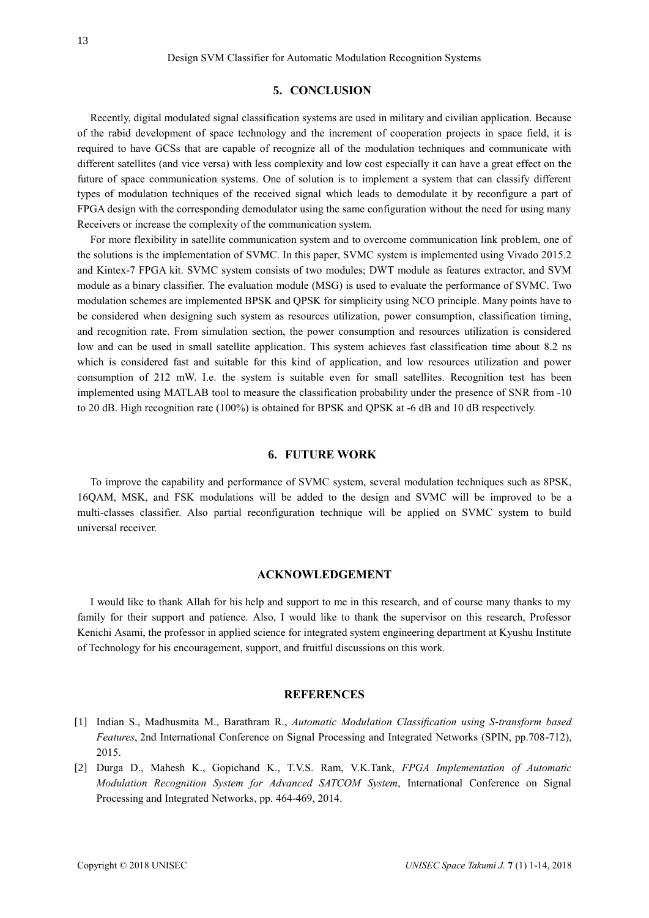#### **5. CONCLUSION**

Recently, digital modulated signal classification systems are used in military and civilian application. Because of the rabid development of space technology and the increment of cooperation projects in space field, it is required to have GCSs that are capable of recognize all of the modulation techniques and communicate with different satellites (and vice versa) with less complexity and low cost especially it can have a great effect on the future of space communication systems. One of solution is to implement a system that can classify different types of modulation techniques of the received signal which leads to demodulate it by reconfigure a part of FPGA design with the corresponding demodulator using the same configuration without the need for using many Receivers or increase the complexity of the communication system.

For more flexibility in satellite communication system and to overcome communication link problem, one of the solutions is the implementation of SVMC. In this paper, SVMC system is implemented using Vivado 2015.2 and Kintex-7 FPGA kit. SVMC system consists of two modules; DWT module as features extractor, and SVM module as a binary classifier. The evaluation module (MSG) is used to evaluate the performance of SVMC. Two modulation schemes are implemented BPSK and QPSK for simplicity using NCO principle. Many points have to be considered when designing such system as resources utilization, power consumption, classification timing, and recognition rate. From simulation section, the power consumption and resources utilization is considered low and can be used in small satellite application. This system achieves fast classification time about 8.2 ns which is considered fast and suitable for this kind of application, and low resources utilization and power consumption of 212 mW. I.e. the system is suitable even for small satellites. Recognition test has been implemented using MATLAB tool to measure the classification probability under the presence of SNR from -10 to 20 dB. High recognition rate (100%) is obtained for BPSK and QPSK at -6 dB and 10 dB respectively.

### **6. FUTURE WORK**

To improve the capability and performance of SVMC system, several modulation techniques such as 8PSK, 16QAM, MSK, and FSK modulations will be added to the design and SVMC will be improved to be a multi-classes classifier. Also partial reconfiguration technique will be applied on SVMC system to build universal receiver.

#### **ACKNOWLEDGEMENT**

I would like to thank Allah for his help and support to me in this research, and of course many thanks to my family for their support and patience. Also, I would like to thank the supervisor on this research, Professor Kenichi Asami, the professor in applied science for integrated system engineering department at Kyushu Institute of Technology for his encouragement, support, and fruitful discussions on this work.

#### **REFERENCES**

- [1] Indian S., Madhusmita M., Barathram R., *Automatic Modulation Classification using S-transform based Features*, 2nd International Conference on Signal Processing and Integrated Networks (SPIN, pp.708-712), 2015.
- [2] Durga D., Mahesh K., Gopichand K., T.V.S. Ram, V.K.Tank, *FPGA Implementation of Automatic Modulation Recognition System for Advanced SATCOM System*, International Conference on Signal Processing and Integrated Networks, pp. 464-469, 2014.